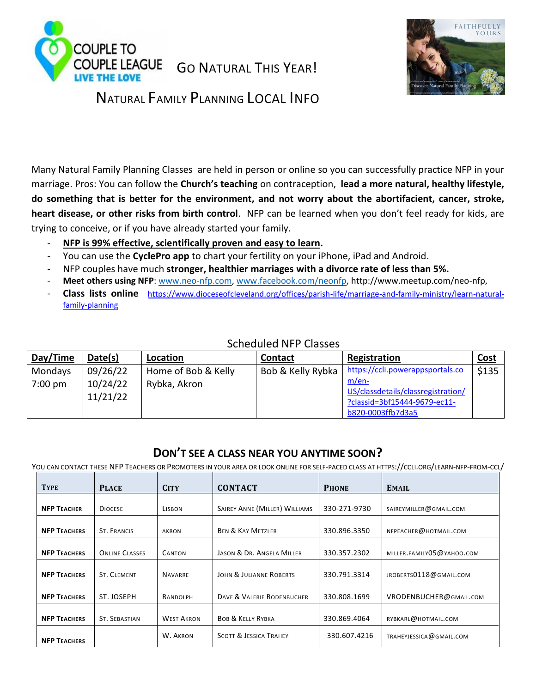



# NATURAL FAMILY PLANNING LOCAL INFO

Many Natural Family Planning Classes are held in person or online so you can successfully practice NFP in your marriage. Pros: You can follow the **Church's teaching** on contraception, **lead a more natural, healthy lifestyle, do something that is better for the environment, and not worry about the abortifacient, cancer, stroke, heart disease, or other risks from birth control**. NFP can be learned when you don't feel ready for kids, are trying to conceive, or if you have already started your family.

- **NFP is 99% effective, scientifically proven and easy to learn.**
- You can use the **CyclePro app** to chart your fertility on your iPhone, iPad and Android.
- NFP couples have much **stronger, healthier marriages with a divorce rate of less than 5%.**
- **Meet others using NFP**: [www.neo-nfp.com,](http://www.neo-nfp.com/) [www.facebook.com/neonfp,](http://www.facebook.com/neonfp) http://www.meetup.com/neo-nfp,
- **Class lists online** [https://www.dioceseofcleveland.org/offices/parish-life/marriage-and-family-ministry/learn-natural](https://www.dioceseofcleveland.org/offices/parish-life/marriage-and-family-ministry/learn-natural-family-planning)[family-planning](https://www.dioceseofcleveland.org/offices/parish-life/marriage-and-family-ministry/learn-natural-family-planning)

| Day/Time | Date(s)              | Location            | <b>Contact</b>    | Registration                                                                                     | <b>Cost</b> |
|----------|----------------------|---------------------|-------------------|--------------------------------------------------------------------------------------------------|-------------|
| Mondays  | 09/26/22             | Home of Bob & Kelly | Bob & Kelly Rybka | https://ccli.powerappsportals.co                                                                 | \$135       |
| 7:00 pm  | 10/24/22<br>11/21/22 | Rybka, Akron        |                   | m/en-<br>US/classdetails/classregistration/<br>?classid=3bf15444-9679-ec11-<br>b820-0003ffb7d3a5 |             |

## Scheduled NFP Classes

## **DON'T SEE A CLASS NEAR YOU ANYTIME SOON?**

YOU CAN CONTACT THESE NFP TEACHERS OR PROMOTERS IN YOUR AREA OR LOOK ONLINE FOR SELF-PACED CLASS AT HTTPS://CCLI.ORG/LEARN-NFP-FROM-CCL/

| <b>TYPE</b>         | <b>PLACE</b>          | <b>CITY</b>       | <b>CONTACT</b>                    | <b>PHONE</b> | <b>EMAIL</b>              |
|---------------------|-----------------------|-------------------|-----------------------------------|--------------|---------------------------|
| <b>NFP TEACHER</b>  | <b>DIOCESE</b>        | LISBON            | SAIREY ANNE (MILLER) WILLIAMS     | 330-271-9730 | SAIREYMILLER@GMAIL.COM    |
| <b>NFP TEACHERS</b> | <b>ST. FRANCIS</b>    | AKRON             | <b>BEN &amp; KAY METZLER</b>      | 330.896.3350 | NFPEACHER@HOTMAIL.COM     |
| <b>NFP TEACHERS</b> | <b>ONLINE CLASSES</b> | <b>CANTON</b>     | JASON & DR. ANGELA MILLER         | 330.357.2302 | MILLER.FAMILY05@YAHOO.COM |
| <b>NFP TEACHERS</b> | ST. CLEMENT           | <b>NAVARRE</b>    | JOHN & JULIANNE ROBERTS           | 330.791.3314 | JROBERTS0118@GMAIL.COM    |
| <b>NFP TEACHERS</b> | ST. JOSEPH            | RANDOLPH          | DAVE & VALERIE RODENBUCHER        | 330.808.1699 | VRODENBUCHER@GMAIL.COM    |
| <b>NFP TEACHERS</b> | <b>ST. SEBASTIAN</b>  | <b>WEST AKRON</b> | <b>BOB &amp; KELLY RYBKA</b>      | 330.869.4064 | RYBKARL@HOTMAIL.COM       |
| <b>NFP TEACHERS</b> |                       | W. AKRON          | <b>SCOTT &amp; JESSICA TRAHEY</b> | 330.607.4216 | TRAHEYJESSICA@GMAIL.COM   |